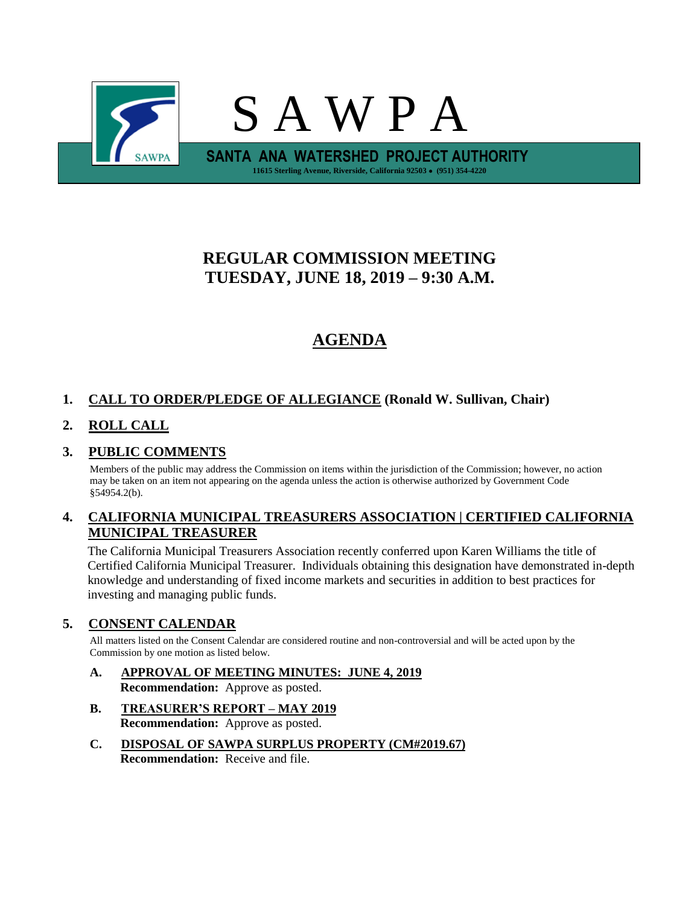

# **REGULAR COMMISSION MEETING TUESDAY, JUNE 18, 2019 – 9:30 A.M.**

# **AGENDA**

## **1. CALL TO ORDER/PLEDGE OF ALLEGIANCE (Ronald W. Sullivan, Chair)**

## **2. ROLL CALL**

## **3. PUBLIC COMMENTS**

Members of the public may address the Commission on items within the jurisdiction of the Commission; however, no action may be taken on an item not appearing on the agenda unless the action is otherwise authorized by Government Code §54954.2(b).

## **4. CALIFORNIA MUNICIPAL TREASURERS ASSOCIATION | CERTIFIED CALIFORNIA MUNICIPAL TREASURER**

The California Municipal Treasurers Association recently conferred upon Karen Williams the title of Certified California Municipal Treasurer. Individuals obtaining this designation have demonstrated in-depth knowledge and understanding of fixed income markets and securities in addition to best practices for investing and managing public funds.

## **5. CONSENT CALENDAR**

All matters listed on the Consent Calendar are considered routine and non-controversial and will be acted upon by the Commission by one motion as listed below.

- **A. APPROVAL OF MEETING MINUTES: JUNE 4, 2019 Recommendation:** Approve as posted.
- **B. TREASURER'S REPORT – MAY 2019 Recommendation:** Approve as posted.
- **C. DISPOSAL OF SAWPA SURPLUS PROPERTY (CM#2019.67) Recommendation:** Receive and file.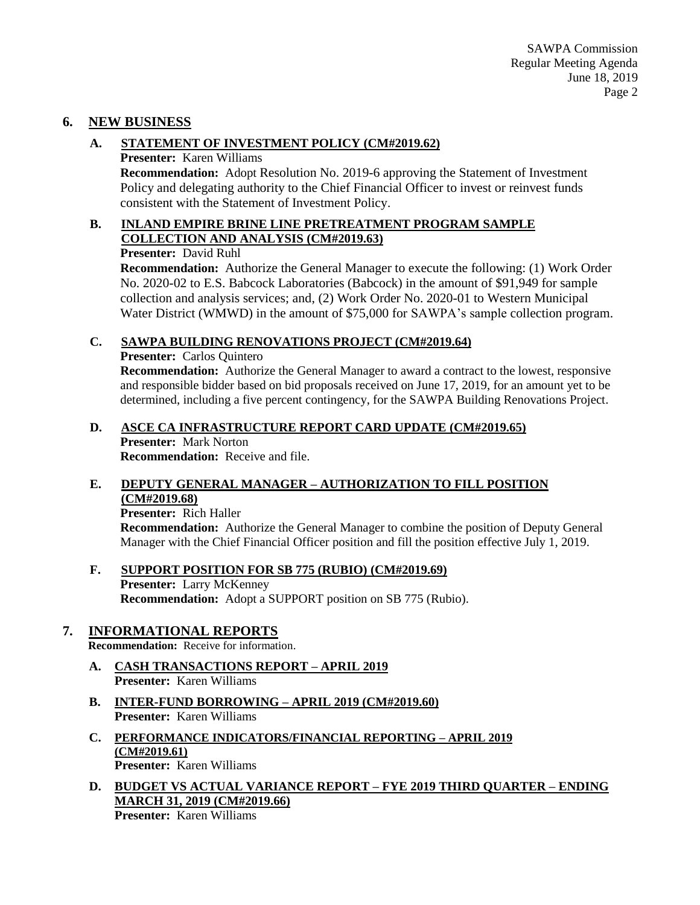## **6. NEW BUSINESS**

## **A. STATEMENT OF INVESTMENT POLICY (CM#2019.62)**

**Presenter:** Karen Williams

**Recommendation:** Adopt Resolution No. 2019-6 approving the Statement of Investment Policy and delegating authority to the Chief Financial Officer to invest or reinvest funds consistent with the Statement of Investment Policy.

## **B. INLAND EMPIRE BRINE LINE PRETREATMENT PROGRAM SAMPLE COLLECTION AND ANALYSIS (CM#2019.63)**

**Presenter:** David Ruhl

**Recommendation:** Authorize the General Manager to execute the following: (1) Work Order No. 2020-02 to E.S. Babcock Laboratories (Babcock) in the amount of \$91,949 for sample collection and analysis services; and, (2) Work Order No. 2020-01 to Western Municipal Water District (WMWD) in the amount of \$75,000 for SAWPA's sample collection program.

## **C. SAWPA BUILDING RENOVATIONS PROJECT (CM#2019.64)**

### **Presenter:** Carlos Quintero

**Recommendation:** Authorize the General Manager to award a contract to the lowest, responsive and responsible bidder based on bid proposals received on June 17, 2019, for an amount yet to be determined, including a five percent contingency, for the SAWPA Building Renovations Project.

## **D. ASCE CA INFRASTRUCTURE REPORT CARD UPDATE (CM#2019.65)**

**Presenter:** Mark Norton **Recommendation:** Receive and file.

## **E. DEPUTY GENERAL MANAGER – AUTHORIZATION TO FILL POSITION (CM#2019.68)**

**Presenter:** Rich Haller

**Recommendation:** Authorize the General Manager to combine the position of Deputy General Manager with the Chief Financial Officer position and fill the position effective July 1, 2019.

#### **F. SUPPORT POSITION FOR SB 775 (RUBIO) (CM#2019.69) Presenter:** Larry McKenney **Recommendation:** Adopt a SUPPORT position on SB 775 (Rubio).

## **7. INFORMATIONAL REPORTS**

**Recommendation:** Receive for information.

- **A. CASH TRANSACTIONS REPORT – APRIL 2019 Presenter:** Karen Williams
- **B. INTER-FUND BORROWING – APRIL 2019 (CM#2019.60) Presenter:** Karen Williams
- **C. PERFORMANCE INDICATORS/FINANCIAL REPORTING – APRIL 2019 (CM#2019.61) Presenter:** Karen Williams
- **D. BUDGET VS ACTUAL VARIANCE REPORT – FYE 2019 THIRD QUARTER – ENDING MARCH 31, 2019 (CM#2019.66)**

**Presenter:** Karen Williams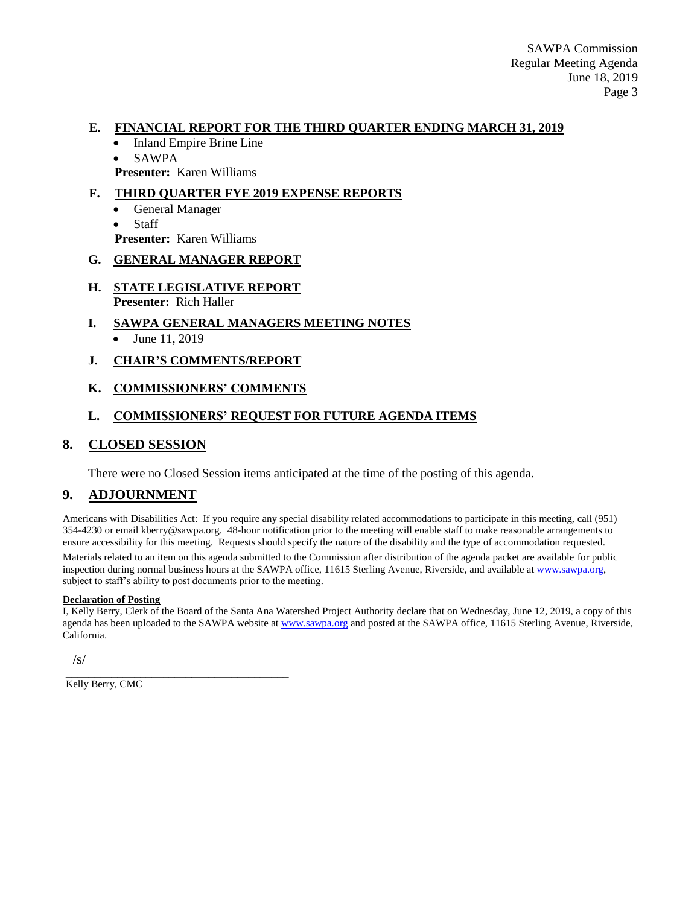#### **E. FINANCIAL REPORT FOR THE THIRD QUARTER ENDING MARCH 31, 2019**

- Inland Empire Brine Line
- SAWPA

**Presenter:** Karen Williams

## **F. THIRD QUARTER FYE 2019 EXPENSE REPORTS**

- General Manager
- Staff
- **Presenter:** Karen Williams

#### **G. GENERAL MANAGER REPORT**

- **H. STATE LEGISLATIVE REPORT Presenter:** Rich Haller
- **I. SAWPA GENERAL MANAGERS MEETING NOTES**
	- June 11, 2019

#### **J. CHAIR'S COMMENTS/REPORT**

#### **K. COMMISSIONERS' COMMENTS**

## **L. COMMISSIONERS' REQUEST FOR FUTURE AGENDA ITEMS**

## **8. CLOSED SESSION**

There were no Closed Session items anticipated at the time of the posting of this agenda.

## **9. ADJOURNMENT**

Americans with Disabilities Act: If you require any special disability related accommodations to participate in this meeting, call (951) 354-4230 or email kberry@sawpa.org. 48-hour notification prior to the meeting will enable staff to make reasonable arrangements to ensure accessibility for this meeting. Requests should specify the nature of the disability and the type of accommodation requested.

Materials related to an item on this agenda submitted to the Commission after distribution of the agenda packet are available for public inspection during normal business hours at the SAWPA office, 11615 Sterling Avenue, Riverside, and available a[t www.sawpa.org,](http://www.sawpa.org/) subject to staff's ability to post documents prior to the meeting.

#### **Declaration of Posting**

I, Kelly Berry, Clerk of the Board of the Santa Ana Watershed Project Authority declare that on Wednesday, June 12, 2019, a copy of this agenda has been uploaded to the SAWPA website at [www.sawpa.org](http://www.sawpa.org/) and posted at the SAWPA office, 11615 Sterling Avenue, Riverside, California.

/s/

\_\_\_\_\_\_\_\_\_\_\_\_\_\_\_\_\_\_\_\_\_\_\_\_\_\_\_\_\_\_\_\_\_\_\_\_\_\_\_ Kelly Berry, CMC